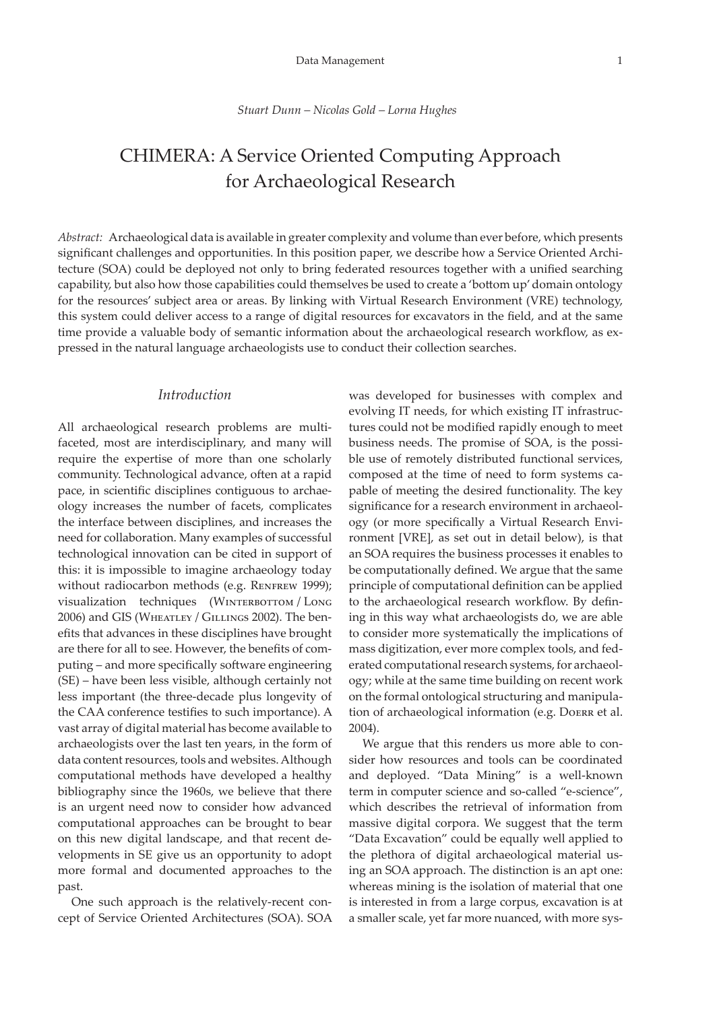#### *Stuart Dunn – Nicolas Gold – Lorna Hughes*

# CHIMERA: A Service Oriented Computing Approach for Archaeological Research

*Abstract:* Archaeological data is available in greater complexity and volume than ever before, which presents significant challenges and opportunities. In this position paper, we describe how a Service Oriented Architecture (SOA) could be deployed not only to bring federated resources together with a unified searching capability, but also how those capabilities could themselves be used to create a 'bottom up' domain ontology for the resources' subject area or areas. By linking with Virtual Research Environment (VRE) technology, this system could deliver access to a range of digital resources for excavators in the field, and at the same time provide a valuable body of semantic information about the archaeological research workflow, as expressed in the natural language archaeologists use to conduct their collection searches.

# *Introduction*

All archaeological research problems are multifaceted, most are interdisciplinary, and many will require the expertise of more than one scholarly community. Technological advance, often at a rapid pace, in scientific disciplines contiguous to archaeology increases the number of facets, complicates the interface between disciplines, and increases the need for collaboration. Many examples of successful technological innovation can be cited in support of this: it is impossible to imagine archaeology today without radiocarbon methods (e.g. RENFREW 1999); visualization techniques (WINTERBOTTOM / LONG 2006) and GIS (WHEATLEY / GILLINGS 2002). The benefits that advances in these disciplines have brought are there for all to see. However, the benefits of computing – and more specifically software engineering (SE) – have been less visible, although certainly not less important (the three-decade plus longevity of the CAA conference testifies to such importance). A vast array of digital material has become available to archaeologists over the last ten years, in the form of data content resources, tools and websites. Although computational methods have developed a healthy bibliography since the 1960s, we believe that there is an urgent need now to consider how advanced computational approaches can be brought to bear on this new digital landscape, and that recent developments in SE give us an opportunity to adopt more formal and documented approaches to the past.

One such approach is the relatively-recent concept of Service Oriented Architectures (SOA). SOA

was developed for businesses with complex and evolving IT needs, for which existing IT infrastructures could not be modified rapidly enough to meet business needs. The promise of SOA, is the possible use of remotely distributed functional services, composed at the time of need to form systems capable of meeting the desired functionality. The key significance for a research environment in archaeology (or more specifically a Virtual Research Environment [VRE], as set out in detail below), is that an SOA requires the business processes it enables to be computationally defined. We argue that the same principle of computational definition can be applied to the archaeological research workflow. By defining in this way what archaeologists do, we are able to consider more systematically the implications of mass digitization, ever more complex tools, and federated computational research systems, for archaeology; while at the same time building on recent work on the formal ontological structuring and manipulation of archaeological information (e.g. Doerr et al. 2004).

We argue that this renders us more able to consider how resources and tools can be coordinated and deployed. "Data Mining" is a well-known term in computer science and so-called "e-science", which describes the retrieval of information from massive digital corpora. We suggest that the term "Data Excavation" could be equally well applied to the plethora of digital archaeological material using an SOA approach. The distinction is an apt one: whereas mining is the isolation of material that one is interested in from a large corpus, excavation is at a smaller scale, yet far more nuanced, with more sys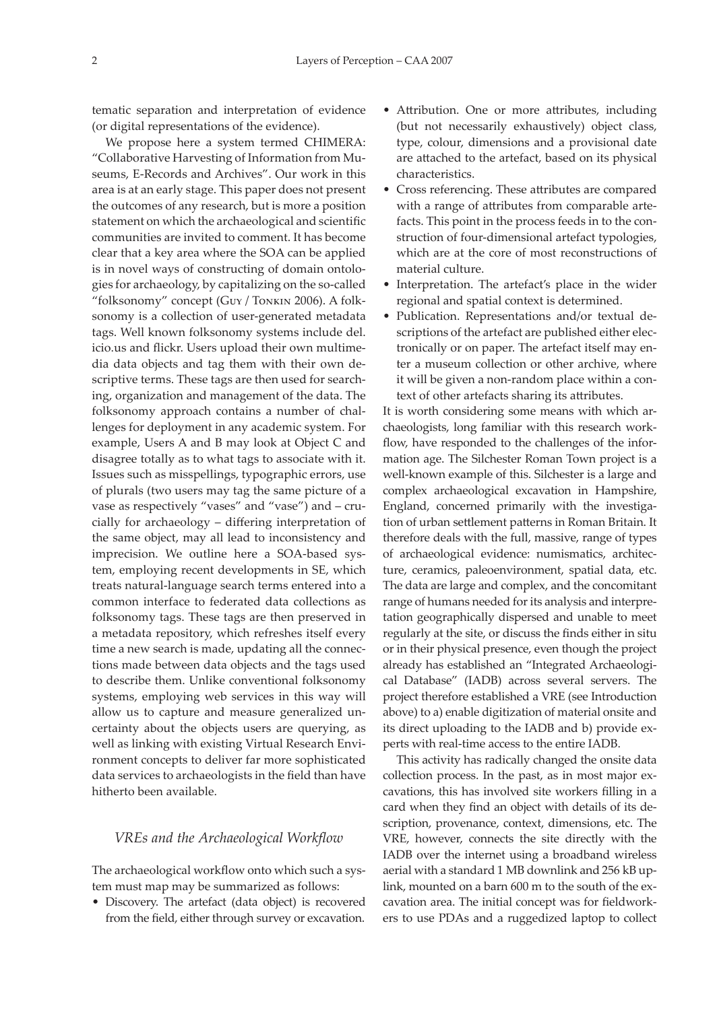tematic separation and interpretation of evidence (or digital representations of the evidence).

We propose here a system termed CHIMERA: "Collaborative Harvesting of Information from Museums, E-Records and Archives". Our work in this area is at an early stage. This paper does not present the outcomes of any research, but is more a position statement on which the archaeological and scientific communities are invited to comment. It has become clear that a key area where the SOA can be applied is in novel ways of constructing of domain ontologies for archaeology, by capitalizing on the so-called "folksonomy" concept (Guy / Tonkin 2006). A folksonomy is a collection of user-generated metadata tags. Well known folksonomy systems include del. icio.us and flickr. Users upload their own multimedia data objects and tag them with their own descriptive terms. These tags are then used for searching, organization and management of the data. The folksonomy approach contains a number of challenges for deployment in any academic system. For example, Users A and B may look at Object C and disagree totally as to what tags to associate with it. Issues such as misspellings, typographic errors, use of plurals (two users may tag the same picture of a vase as respectively "vases" and "vase") and – crucially for archaeology – differing interpretation of the same object, may all lead to inconsistency and imprecision. We outline here a SOA-based system, employing recent developments in SE, which treats natural-language search terms entered into a common interface to federated data collections as folksonomy tags. These tags are then preserved in a metadata repository, which refreshes itself every time a new search is made, updating all the connections made between data objects and the tags used to describe them. Unlike conventional folksonomy systems, employing web services in this way will allow us to capture and measure generalized uncertainty about the objects users are querying, as well as linking with existing Virtual Research Environment concepts to deliver far more sophisticated data services to archaeologists in the field than have hitherto been available.

## *VREs and the Archaeological Workflow*

The archaeological workflow onto which such a system must map may be summarized as follows:

• Discovery. The artefact (data object) is recovered from the field, either through survey or excavation.

- Attribution. One or more attributes, including (but not necessarily exhaustively) object class, type, colour, dimensions and a provisional date are attached to the artefact, based on its physical characteristics.
- Cross referencing. These attributes are compared with a range of attributes from comparable artefacts. This point in the process feeds in to the construction of four-dimensional artefact typologies, which are at the core of most reconstructions of material culture.
- Interpretation. The artefact's place in the wider regional and spatial context is determined.
- Publication. Representations and/or textual descriptions of the artefact are published either electronically or on paper. The artefact itself may enter a museum collection or other archive, where it will be given a non-random place within a context of other artefacts sharing its attributes.

It is worth considering some means with which archaeologists, long familiar with this research workflow, have responded to the challenges of the information age. The Silchester Roman Town project is a well-known example of this. Silchester is a large and complex archaeological excavation in Hampshire, England, concerned primarily with the investigation of urban settlement patterns in Roman Britain. It therefore deals with the full, massive, range of types of archaeological evidence: numismatics, architecture, ceramics, paleoenvironment, spatial data, etc. The data are large and complex, and the concomitant range of humans needed for its analysis and interpretation geographically dispersed and unable to meet regularly at the site, or discuss the finds either in situ or in their physical presence, even though the project already has established an "Integrated Archaeological Database" (IADB) across several servers. The project therefore established a VRE (see Introduction above) to a) enable digitization of material onsite and its direct uploading to the IADB and b) provide experts with real-time access to the entire IADB.

This activity has radically changed the onsite data collection process. In the past, as in most major excavations, this has involved site workers filling in a card when they find an object with details of its description, provenance, context, dimensions, etc. The VRE, however, connects the site directly with the IADB over the internet using a broadband wireless aerial with a standard 1 MB downlink and 256 kB uplink, mounted on a barn 600 m to the south of the excavation area. The initial concept was for fieldworkers to use PDAs and a ruggedized laptop to collect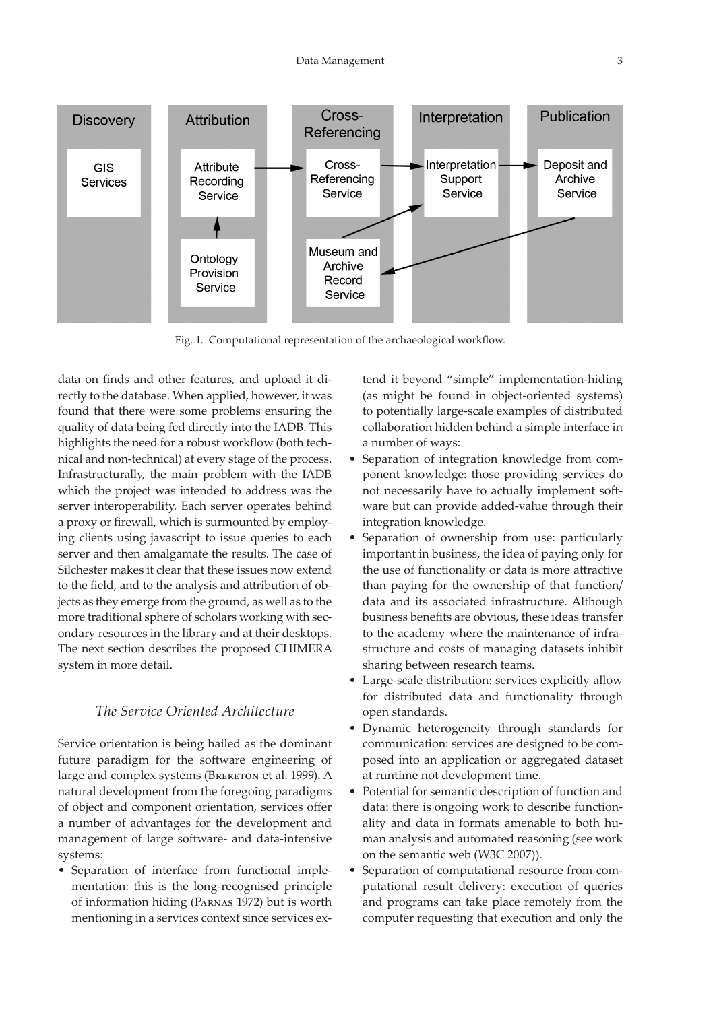

Fig. 1. Computational representation of the archaeological workflow.

data on finds and other features, and upload it directly to the database. When applied, however, it was found that there were some problems ensuring the quality of data being fed directly into the IADB. This highlights the need for a robust workflow (both technical and non-technical) at every stage of the process. Infrastructurally, the main problem with the IADB which the project was intended to address was the server interoperability. Each server operates behind a proxy or firewall, which is surmounted by employing clients using javascript to issue queries to each server and then amalgamate the results. The case of Silchester makes it clear that these issues now extend to the field, and to the analysis and attribution of objects as they emerge from the ground, as well as to the more traditional sphere of scholars working with secondary resources in the library and at their desktops. The next section describes the proposed CHIMERA system in more detail.

# *The Service Oriented Architecture*

Service orientation is being hailed as the dominant future paradigm for the software engineering of large and complex systems (BRERETON et al. 1999). A natural development from the foregoing paradigms of object and component orientation, services offer a number of advantages for the development and management of large software- and data-intensive systems:

• Separation of interface from functional implementation: this is the long-recognised principle of information hiding (Parnas 1972) but is worth mentioning in a services context since services extend it beyond "simple" implementation-hiding (as might be found in object-oriented systems) to potentially large-scale examples of distributed collaboration hidden behind a simple interface in a number of ways:

- Separation of integration knowledge from component knowledge: those providing services do not necessarily have to actually implement software but can provide added-value through their integration knowledge.
- Separation of ownership from use: particularly important in business, the idea of paying only for the use of functionality or data is more attractive than paying for the ownership of that function/ data and its associated infrastructure. Although business benefits are obvious, these ideas transfer to the academy where the maintenance of infrastructure and costs of managing datasets inhibit sharing between research teams.
- Large-scale distribution: services explicitly allow for distributed data and functionality through open standards.
- Dynamic heterogeneity through standards for communication: services are designed to be composed into an application or aggregated dataset at runtime not development time.
- Potential for semantic description of function and data: there is ongoing work to describe functionality and data in formats amenable to both human analysis and automated reasoning (see work on the semantic web (W3C 2007)).
- Separation of computational resource from computational result delivery: execution of queries and programs can take place remotely from the computer requesting that execution and only the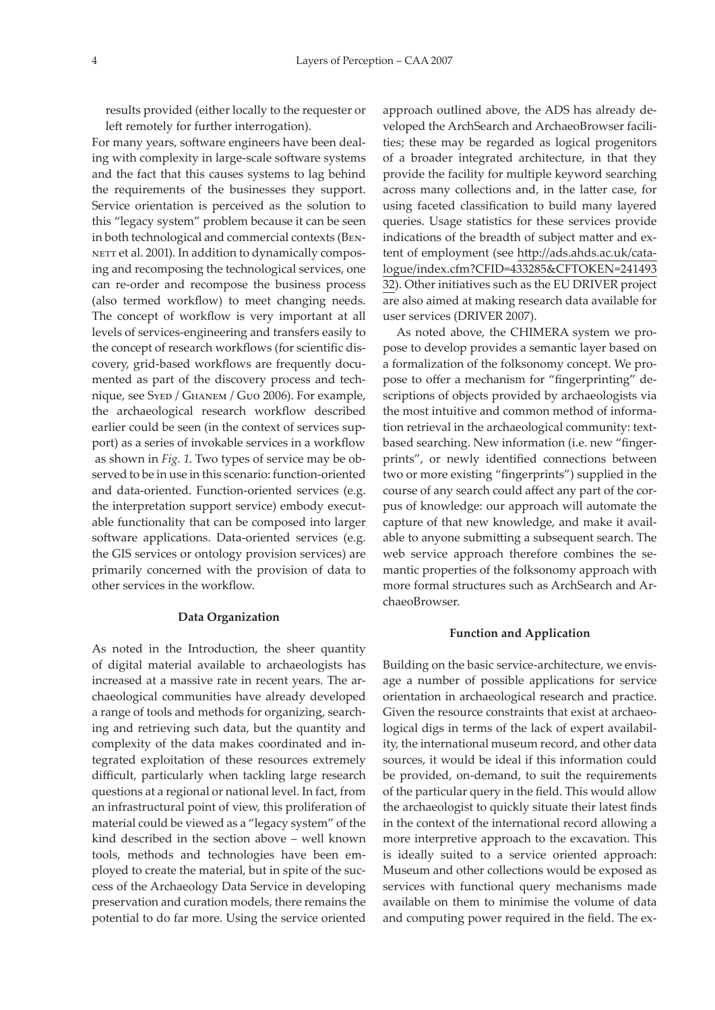results provided (either locally to the requester or left remotely for further interrogation).

For many years, software engineers have been dealing with complexity in large-scale software systems and the fact that this causes systems to lag behind the requirements of the businesses they support. Service orientation is perceived as the solution to this "legacy system" problem because it can be seen in both technological and commercial contexts (Ben-NETT et al. 2001). In addition to dynamically composing and recomposing the technological services, one can re-order and recompose the business process (also termed workflow) to meet changing needs. The concept of workflow is very important at all levels of services-engineering and transfers easily to the concept of research workflows (for scientific discovery, grid-based workflows are frequently documented as part of the discovery process and technique, see Syed / Ghanem / Guo 2006). For example, the archaeological research workflow described earlier could be seen (in the context of services support) as a series of invokable services in a workflow as shown in *Fig. 1*. Two types of service may be observed to be in use in this scenario: function-oriented and data-oriented. Function-oriented services (e.g. the interpretation support service) embody executable functionality that can be composed into larger software applications. Data-oriented services (e.g. the GIS services or ontology provision services) are primarily concerned with the provision of data to other services in the workflow.

### **Data Organization**

As noted in the Introduction, the sheer quantity of digital material available to archaeologists has increased at a massive rate in recent years. The archaeological communities have already developed a range of tools and methods for organizing, searching and retrieving such data, but the quantity and complexity of the data makes coordinated and integrated exploitation of these resources extremely difficult, particularly when tackling large research questions at a regional or national level. In fact, from an infrastructural point of view, this proliferation of material could be viewed as a "legacy system" of the kind described in the section above – well known tools, methods and technologies have been employed to create the material, but in spite of the success of the Archaeology Data Service in developing preservation and curation models, there remains the potential to do far more. Using the service oriented

approach outlined above, the ADS has already developed the ArchSearch and ArchaeoBrowser facilities; these may be regarded as logical progenitors of a broader integrated architecture, in that they provide the facility for multiple keyword searching across many collections and, in the latter case, for using faceted classification to build many layered queries. Usage statistics for these services provide indications of the breadth of subject matter and extent of employment (see [http://ads.ahds.ac.uk/cata](http://ads.ahds.ac.uk/catalogue/index.cfm?CFID=433285&CFTOKEN=24149332)[logue/index.cfm?CFID=433285&CFTOKEN=241493](http://ads.ahds.ac.uk/catalogue/index.cfm?CFID=433285&CFTOKEN=24149332) [32](http://ads.ahds.ac.uk/catalogue/index.cfm?CFID=433285&CFTOKEN=24149332)). Other initiatives such as the EU DRIVER project are also aimed at making research data available for user services (DRIVER 2007).

As noted above, the CHIMERA system we propose to develop provides a semantic layer based on a formalization of the folksonomy concept. We propose to offer a mechanism for "fingerprinting" descriptions of objects provided by archaeologists via the most intuitive and common method of information retrieval in the archaeological community: textbased searching. New information (i.e. new "fingerprints", or newly identified connections between two or more existing "fingerprints") supplied in the course of any search could affect any part of the corpus of knowledge: our approach will automate the capture of that new knowledge, and make it available to anyone submitting a subsequent search. The web service approach therefore combines the semantic properties of the folksonomy approach with more formal structures such as ArchSearch and ArchaeoBrowser.

#### **Function and Application**

Building on the basic service-architecture, we envisage a number of possible applications for service orientation in archaeological research and practice. Given the resource constraints that exist at archaeological digs in terms of the lack of expert availability, the international museum record, and other data sources, it would be ideal if this information could be provided, on-demand, to suit the requirements of the particular query in the field. This would allow the archaeologist to quickly situate their latest finds in the context of the international record allowing a more interpretive approach to the excavation. This is ideally suited to a service oriented approach: Museum and other collections would be exposed as services with functional query mechanisms made available on them to minimise the volume of data and computing power required in the field. The ex-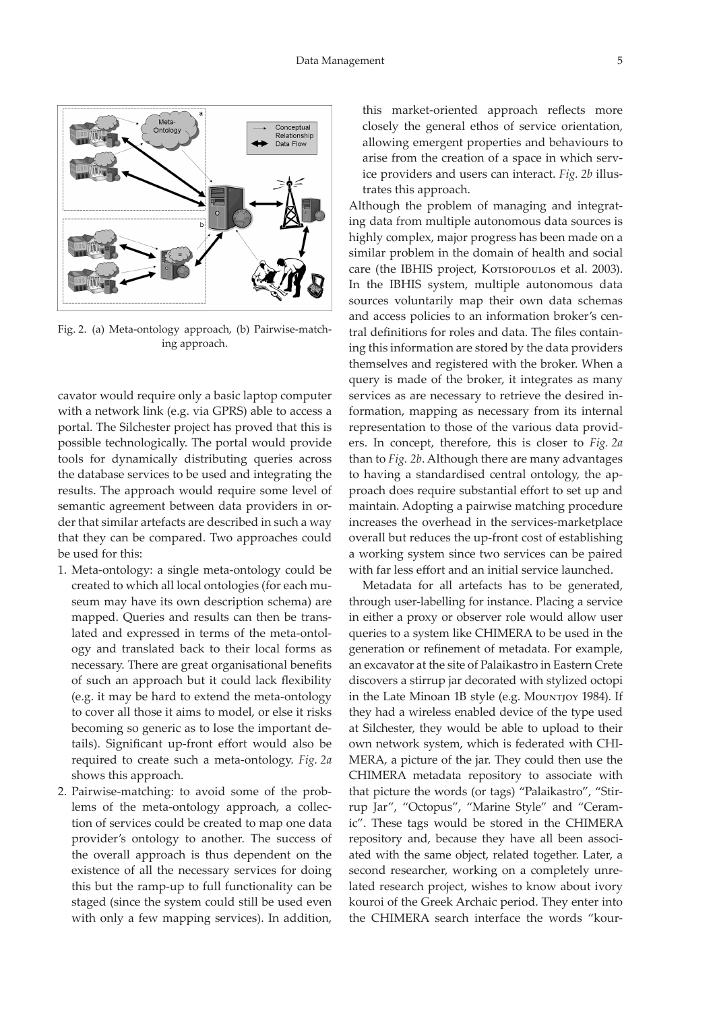

Fig. 2. (a) Meta-ontology approach, (b) Pairwise-matching approach.

cavator would require only a basic laptop computer with a network link (e.g. via GPRS) able to access a portal. The Silchester project has proved that this is possible technologically. The portal would provide tools for dynamically distributing queries across the database services to be used and integrating the results. The approach would require some level of semantic agreement between data providers in order that similar artefacts are described in such a way that they can be compared. Two approaches could be used for this:

- 1. Meta-ontology: a single meta-ontology could be created to which all local ontologies (for each museum may have its own description schema) are mapped. Queries and results can then be translated and expressed in terms of the meta-ontology and translated back to their local forms as necessary. There are great organisational benefits of such an approach but it could lack flexibility (e.g. it may be hard to extend the meta-ontology to cover all those it aims to model, or else it risks becoming so generic as to lose the important details). Significant up-front effort would also be required to create such a meta-ontology. *Fig. 2a* shows this approach.
- 2. Pairwise-matching: to avoid some of the problems of the meta-ontology approach, a collection of services could be created to map one data provider's ontology to another. The success of the overall approach is thus dependent on the existence of all the necessary services for doing this but the ramp-up to full functionality can be staged (since the system could still be used even with only a few mapping services). In addition,

this market-oriented approach reflects more closely the general ethos of service orientation, allowing emergent properties and behaviours to arise from the creation of a space in which service providers and users can interact. *Fig. 2b* illustrates this approach.

Although the problem of managing and integrating data from multiple autonomous data sources is highly complex, major progress has been made on a similar problem in the domain of health and social care (the IBHIS project, Korsiopoulos et al. 2003). In the IBHIS system, multiple autonomous data sources voluntarily map their own data schemas and access policies to an information broker's central definitions for roles and data. The files containing this information are stored by the data providers themselves and registered with the broker. When a query is made of the broker, it integrates as many services as are necessary to retrieve the desired information, mapping as necessary from its internal representation to those of the various data providers. In concept, therefore, this is closer to *Fig. 2a* than to *Fig. 2b*. Although there are many advantages to having a standardised central ontology, the approach does require substantial effort to set up and maintain. Adopting a pairwise matching procedure increases the overhead in the services-marketplace overall but reduces the up-front cost of establishing a working system since two services can be paired with far less effort and an initial service launched.

Metadata for all artefacts has to be generated, through user-labelling for instance. Placing a service in either a proxy or observer role would allow user queries to a system like CHIMERA to be used in the generation or refinement of metadata. For example, an excavator at the site of Palaikastro in Eastern Crete discovers a stirrup jar decorated with stylized octopi in the Late Minoan 1B style (e.g. Mountjoy 1984). If they had a wireless enabled device of the type used at Silchester, they would be able to upload to their own network system, which is federated with CHI-MERA, a picture of the jar. They could then use the CHIMERA metadata repository to associate with that picture the words (or tags) "Palaikastro", "Stirrup Jar", "Octopus", "Marine Style" and "Ceramic". These tags would be stored in the CHIMERA repository and, because they have all been associated with the same object, related together. Later, a second researcher, working on a completely unrelated research project, wishes to know about ivory kouroi of the Greek Archaic period. They enter into the CHIMERA search interface the words "kour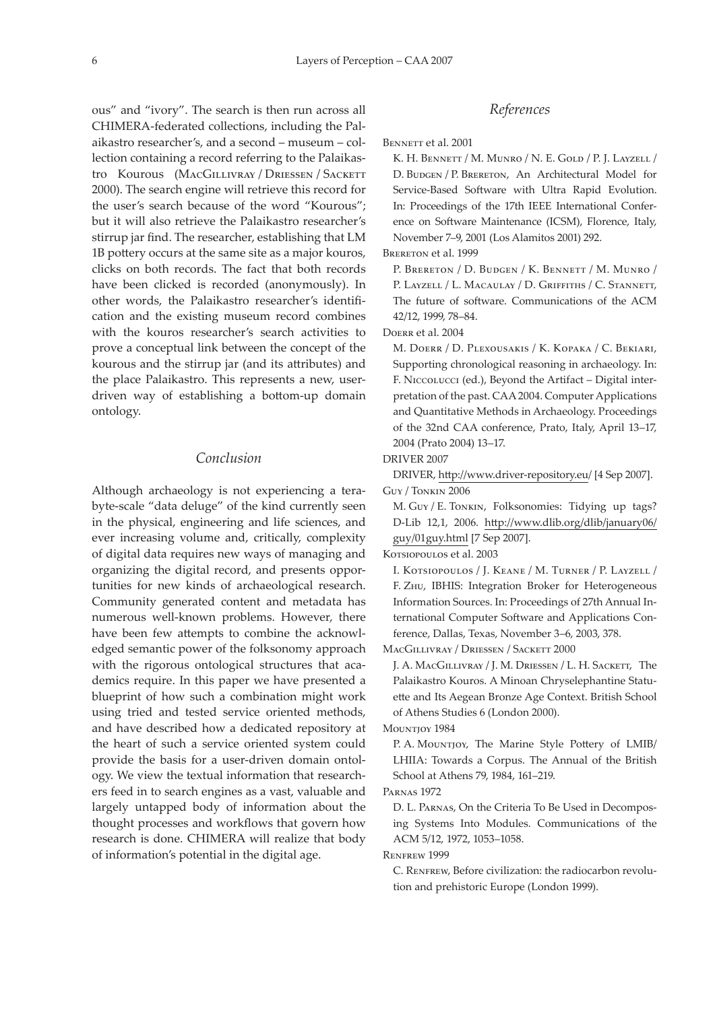ous" and "ivory". The search is then run across all CHIMERA-federated collections, including the Palaikastro researcher's, and a second – museum – collection containing a record referring to the Palaikastro Kourous (MacGillivray / Driessen / Sackett 2000). The search engine will retrieve this record for the user's search because of the word "Kourous"; but it will also retrieve the Palaikastro researcher's stirrup jar find. The researcher, establishing that LM 1B pottery occurs at the same site as a major kouros, clicks on both records. The fact that both records have been clicked is recorded (anonymously). In other words, the Palaikastro researcher's identification and the existing museum record combines with the kouros researcher's search activities to prove a conceptual link between the concept of the kourous and the stirrup jar (and its attributes) and the place Palaikastro. This represents a new, userdriven way of establishing a bottom-up domain ontology.

# *Conclusion*

Although archaeology is not experiencing a terabyte-scale "data deluge" of the kind currently seen in the physical, engineering and life sciences, and ever increasing volume and, critically, complexity of digital data requires new ways of managing and organizing the digital record, and presents opportunities for new kinds of archaeological research. Community generated content and metadata has numerous well-known problems. However, there have been few attempts to combine the acknowledged semantic power of the folksonomy approach with the rigorous ontological structures that academics require. In this paper we have presented a blueprint of how such a combination might work using tried and tested service oriented methods, and have described how a dedicated repository at the heart of such a service oriented system could provide the basis for a user-driven domain ontology. We view the textual information that researchers feed in to search engines as a vast, valuable and largely untapped body of information about the thought processes and workflows that govern how research is done. CHIMERA will realize that body of information's potential in the digital age.

## *References*

BENNETT et al. 2001

K. H. Bennett / M. Munro / N. E. Gold / P. J. Layzell / D. BUDGEN / P. BRERETON, An Architectural Model for Service-Based Software with Ultra Rapid Evolution. In: Proceedings of the 17th IEEE International Conference on Software Maintenance (ICSM), Florence, Italy, November 7–9, 2001 (Los Alamitos 2001) 292.

### BRERETON et al. 1999

P. BRERETON / D. BUDGEN / K. BENNETT / M. MUNRO / P. LAYZELL / L. MACAULAY / D. GRIFFITHS / C. STANNETT, The future of software. Communications of the ACM 42/12, 1999, 78–84.

Doerr et al. 2004

M. Doerr / D. Plexousakis / K. Kopaka / C. Bekiari, Supporting chronological reasoning in archaeology. In: F. Niccolucci (ed.), Beyond the Artifact – Digital interpretation of the past. CAA 2004. Computer Applications and Quantitative Methods in Archaeology. Proceedings of the 32nd CAA conference, Prato, Italy, April 13–17, 2004 (Prato 2004) 13–17.

DRIVER 2007

DRIVER,<http://www.driver-repository.eu/>[4 Sep 2007]. Guy / Tonkin 2006

M. Guy / E. Tonkin, Folksonomies: Tidying up tags? D-Lib 12,1, 2006. [http://www.dlib.org/dlib/january06/](http://www.dlib.org/dlib/january06/guy/01guy.html) [guy/01guy.htm](http://www.dlib.org/dlib/january06/guy/01guy.html)l [7 Sep 2007].

Korsiopoulos et al. 2003

I. Kotsiopoulos / J. Keane / M. Turner / P. Layzell / F. Zhu, IBHIS: Integration Broker for Heterogeneous Information Sources. In: Proceedings of 27th Annual International Computer Software and Applications Conference, Dallas, Texas, November 3–6, 2003, 378.

MacGillivray / Driessen / Sackett 2000

J. A. MacGillivray / J. M. Driessen / L. H. Sackett, The Palaikastro Kouros. A Minoan Chryselephantine Statuette and Its Aegean Bronze Age Context. British School of Athens Studies 6 (London 2000).

MOUNTJOY 1984

P. A. Mountjoy, The Marine Style Pottery of LMIB/ LHIIA: Towards a Corpus. The Annual of the British School at Athens 79, 1984, 161–219.

Parnas 1972

D. L. Parnas, On the Criteria To Be Used in Decomposing Systems Into Modules. Communications of the ACM 5/12, 1972, 1053–1058.

Renfrew 1999

C. RENFREW, Before civilization: the radiocarbon revolution and prehistoric Europe (London 1999).